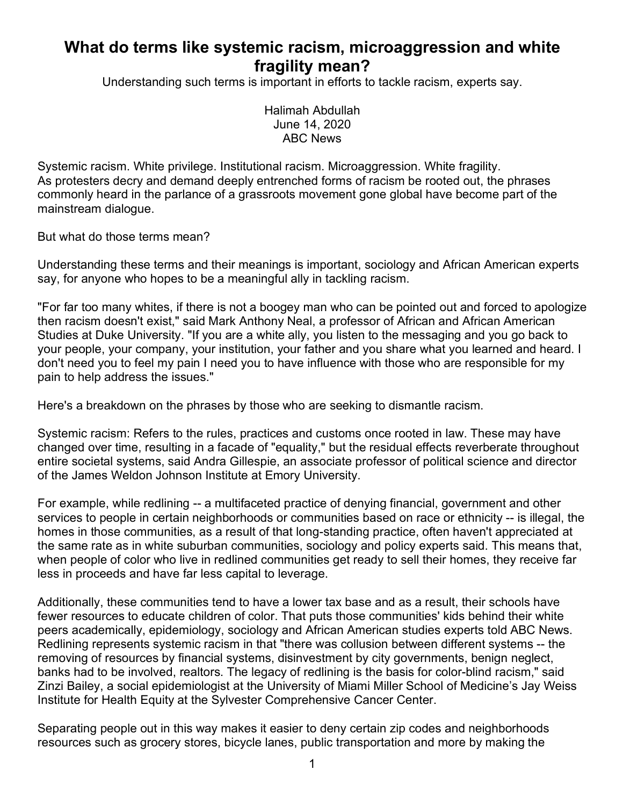## **What do terms like systemic racism, microaggression and white fragility mean?**

Understanding such terms is important in efforts to tackle racism, experts say.

Halimah Abdullah June 14, 2020 ABC News

Systemic racism. White privilege. Institutional racism. Microaggression. White fragility. As protesters decry and demand deeply entrenched forms of racism be rooted out, the phrases commonly heard in the parlance of a grassroots movement gone global have become part of the mainstream dialogue.

But what do those terms mean?

Understanding these terms and their meanings is important, sociology and African American experts say, for anyone who hopes to be a meaningful ally in tackling racism.

"For far too many whites, if there is not a boogey man who can be pointed out and forced to apologize then racism doesn't exist," said Mark Anthony Neal, a professor of African and African American Studies at Duke University. "If you are a white ally, you listen to the messaging and you go back to your people, your company, your institution, your father and you share what you learned and heard. I don't need you to feel my pain I need you to have influence with those who are responsible for my pain to help address the issues."

Here's a breakdown on the phrases by those who are seeking to dismantle racism.

Systemic racism: Refers to the rules, practices and customs once rooted in law. These may have changed over time, resulting in a facade of "equality," but the residual effects reverberate throughout entire societal systems, said Andra Gillespie, an associate professor of political science and director of the James Weldon Johnson Institute at Emory University.

For example, while redlining -- a multifaceted practice of denying financial, government and other services to people in certain neighborhoods or communities based on race or ethnicity -- is illegal, the homes in those communities, as a result of that long-standing practice, often haven't appreciated at the same rate as in white suburban communities, sociology and policy experts said. This means that, when people of color who live in redlined communities get ready to sell their homes, they receive far less in proceeds and have far less capital to leverage.

Additionally, these communities tend to have a lower tax base and as a result, their schools have fewer resources to educate children of color. That puts those communities' kids behind their white peers academically, epidemiology, sociology and African American studies experts told ABC News. Redlining represents systemic racism in that "there was collusion between different systems -- the removing of resources by financial systems, disinvestment by city governments, benign neglect, banks had to be involved, realtors. The legacy of redlining is the basis for color-blind racism," said Zinzi Bailey, a social epidemiologist at the University of Miami Miller School of Medicine's Jay Weiss Institute for Health Equity at the Sylvester Comprehensive Cancer Center.

Separating people out in this way makes it easier to deny certain zip codes and neighborhoods resources such as grocery stores, bicycle lanes, public transportation and more by making the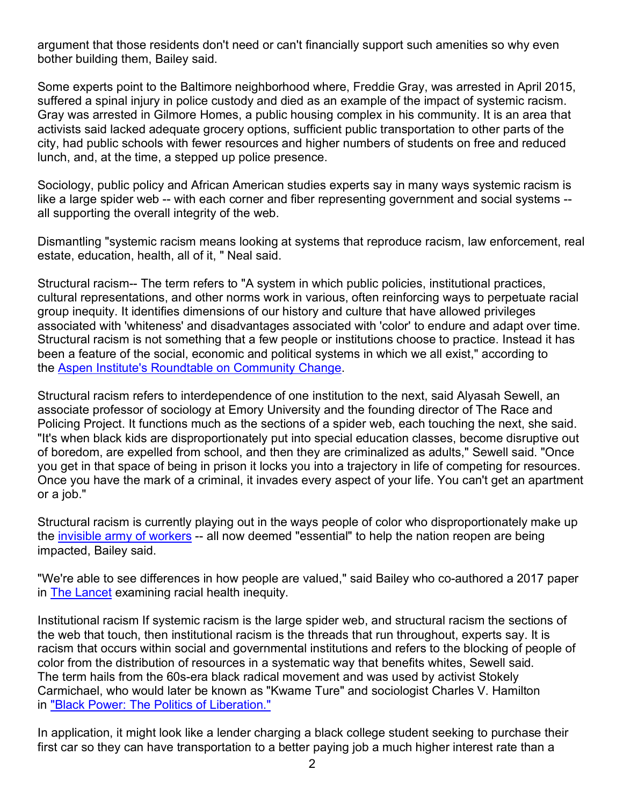argument that those residents don't need or can't financially support such amenities so why even bother building them, Bailey said.

Some experts point to the Baltimore neighborhood where, Freddie Gray, was arrested in April 2015, suffered a spinal injury in police custody and died as an example of the impact of systemic racism. Gray was arrested in Gilmore Homes, a public housing complex in his community. It is an area that activists said lacked adequate grocery options, sufficient public transportation to other parts of the city, had public schools with fewer resources and higher numbers of students on free and reduced lunch, and, at the time, a stepped up police presence.

Sociology, public policy and African American studies experts say in many ways systemic racism is like a large spider web -- with each corner and fiber representing government and social systems - all supporting the overall integrity of the web.

Dismantling "systemic racism means looking at systems that reproduce racism, law enforcement, real estate, education, health, all of it, " Neal said.

Structural racism-- The term refers to "A system in which public policies, institutional practices, cultural representations, and other norms work in various, often reinforcing ways to perpetuate racial group inequity. It identifies dimensions of our history and culture that have allowed privileges associated with 'whiteness' and disadvantages associated with 'color' to endure and adapt over time. Structural racism is not something that a few people or institutions choose to practice. Instead it has been a feature of the social, economic and political systems in which we all exist," according to the Aspen Institute's Roundtable on Community Change.

Structural racism refers to interdependence of one institution to the next, said Alyasah Sewell, an associate professor of sociology at Emory University and the founding director of The Race and Policing Project. It functions much as the sections of a spider web, each touching the next, she said. "It's when black kids are disproportionately put into special education classes, become disruptive out of boredom, are expelled from school, and then they are criminalized as adults," Sewell said. "Once you get in that space of being in prison it locks you into a trajectory in life of competing for resources. Once you have the mark of a criminal, it invades every aspect of your life. You can't get an apartment or a job."

Structural racism is currently playing out in the ways people of color who disproportionately make up the *invisible army of workers* -- all now deemed "essential" to help the nation reopen are being impacted, Bailey said.

"We're able to see differences in how people are valued," said Bailey who co-authored a 2017 paper in **The Lancet** examining racial health inequity.

Institutional racism If systemic racism is the large spider web, and structural racism the sections of the web that touch, then institutional racism is the threads that run throughout, experts say. It is racism that occurs within social and governmental institutions and refers to the blocking of people of color from the distribution of resources in a systematic way that benefits whites, Sewell said. The term hails from the 60s-era black radical movement and was used by activist Stokely Carmichael, who would later be known as "Kwame Ture" and sociologist Charles V. Hamilton in "Black Power: The Politics of Liberation."

In application, it might look like a lender charging a black college student seeking to purchase their first car so they can have transportation to a better paying job a much higher interest rate than a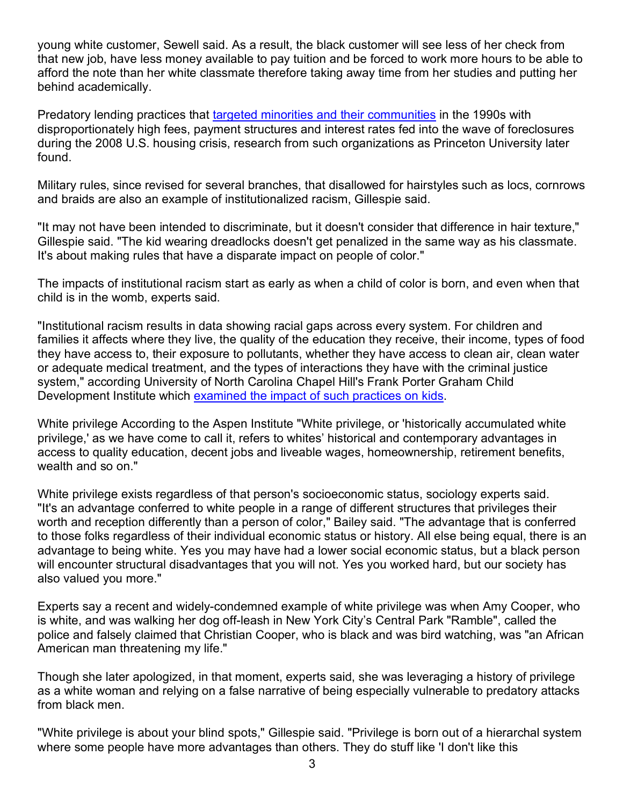young white customer, Sewell said. As a result, the black customer will see less of her check from that new job, have less money available to pay tuition and be forced to work more hours to be able to afford the note than her white classmate therefore taking away time from her studies and putting her behind academically.

Predatory lending practices that targeted minorities and their communities in the 1990s with disproportionately high fees, payment structures and interest rates fed into the wave of foreclosures during the 2008 U.S. housing crisis, research from such organizations as Princeton University later found.

Military rules, since revised for several branches, that disallowed for hairstyles such as locs, cornrows and braids are also an example of institutionalized racism, Gillespie said.

"It may not have been intended to discriminate, but it doesn't consider that difference in hair texture," Gillespie said. "The kid wearing dreadlocks doesn't get penalized in the same way as his classmate. It's about making rules that have a disparate impact on people of color."

The impacts of institutional racism start as early as when a child of color is born, and even when that child is in the womb, experts said.

"Institutional racism results in data showing racial gaps across every system. For children and families it affects where they live, the quality of the education they receive, their income, types of food they have access to, their exposure to pollutants, whether they have access to clean air, clean water or adequate medical treatment, and the types of interactions they have with the criminal justice system," according University of North Carolina Chapel Hill's Frank Porter Graham Child Development Institute which examined the impact of such practices on kids.

White privilege According to the Aspen Institute "White privilege, or 'historically accumulated white privilege,' as we have come to call it, refers to whites' historical and contemporary advantages in access to quality education, decent jobs and liveable wages, homeownership, retirement benefits, wealth and so on."

White privilege exists regardless of that person's socioeconomic status, sociology experts said. "It's an advantage conferred to white people in a range of different structures that privileges their worth and reception differently than a person of color," Bailey said. "The advantage that is conferred to those folks regardless of their individual economic status or history. All else being equal, there is an advantage to being white. Yes you may have had a lower social economic status, but a black person will encounter structural disadvantages that you will not. Yes you worked hard, but our society has also valued you more."

Experts say a recent and widely-condemned example of white privilege was when Amy Cooper, who is white, and was walking her dog off-leash in New York City's Central Park "Ramble", called the police and falsely claimed that Christian Cooper, who is black and was bird watching, was "an African American man threatening my life."

Though she later apologized, in that moment, experts said, she was leveraging a history of privilege as a white woman and relying on a false narrative of being especially vulnerable to predatory attacks from black men.

"White privilege is about your blind spots," Gillespie said. "Privilege is born out of a hierarchal system where some people have more advantages than others. They do stuff like 'I don't like this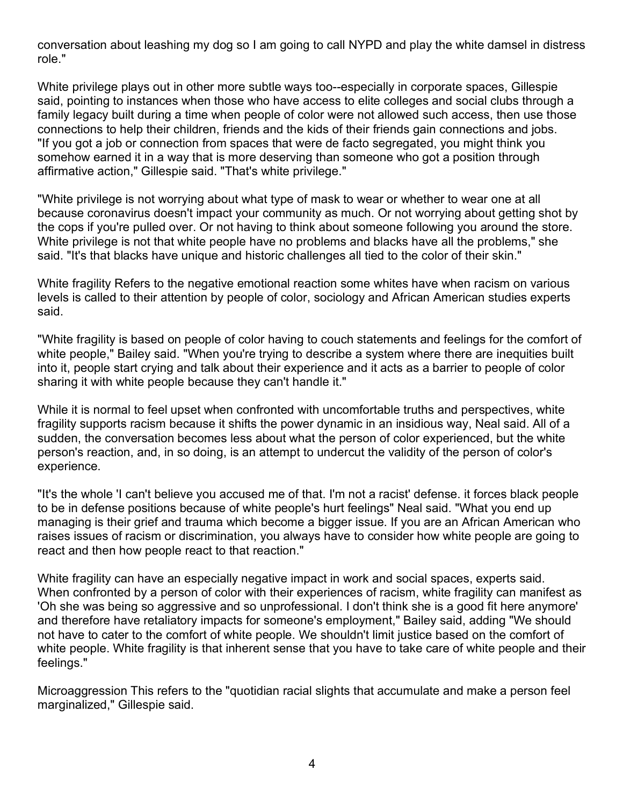conversation about leashing my dog so I am going to call NYPD and play the white damsel in distress role."

White privilege plays out in other more subtle ways too--especially in corporate spaces, Gillespie said, pointing to instances when those who have access to elite colleges and social clubs through a family legacy built during a time when people of color were not allowed such access, then use those connections to help their children, friends and the kids of their friends gain connections and jobs. "If you got a job or connection from spaces that were de facto segregated, you might think you somehow earned it in a way that is more deserving than someone who got a position through affirmative action," Gillespie said. "That's white privilege."

"White privilege is not worrying about what type of mask to wear or whether to wear one at all because coronavirus doesn't impact your community as much. Or not worrying about getting shot by the cops if you're pulled over. Or not having to think about someone following you around the store. White privilege is not that white people have no problems and blacks have all the problems," she said. "It's that blacks have unique and historic challenges all tied to the color of their skin."

White fragility Refers to the negative emotional reaction some whites have when racism on various levels is called to their attention by people of color, sociology and African American studies experts said.

"White fragility is based on people of color having to couch statements and feelings for the comfort of white people," Bailey said. "When you're trying to describe a system where there are inequities built into it, people start crying and talk about their experience and it acts as a barrier to people of color sharing it with white people because they can't handle it."

While it is normal to feel upset when confronted with uncomfortable truths and perspectives, white fragility supports racism because it shifts the power dynamic in an insidious way, Neal said. All of a sudden, the conversation becomes less about what the person of color experienced, but the white person's reaction, and, in so doing, is an attempt to undercut the validity of the person of color's experience.

"It's the whole 'I can't believe you accused me of that. I'm not a racist' defense. it forces black people to be in defense positions because of white people's hurt feelings" Neal said. "What you end up managing is their grief and trauma which become a bigger issue. If you are an African American who raises issues of racism or discrimination, you always have to consider how white people are going to react and then how people react to that reaction."

White fragility can have an especially negative impact in work and social spaces, experts said. When confronted by a person of color with their experiences of racism, white fragility can manifest as 'Oh she was being so aggressive and so unprofessional. I don't think she is a good fit here anymore' and therefore have retaliatory impacts for someone's employment," Bailey said, adding "We should not have to cater to the comfort of white people. We shouldn't limit justice based on the comfort of white people. White fragility is that inherent sense that you have to take care of white people and their feelings."

Microaggression This refers to the "quotidian racial slights that accumulate and make a person feel marginalized," Gillespie said.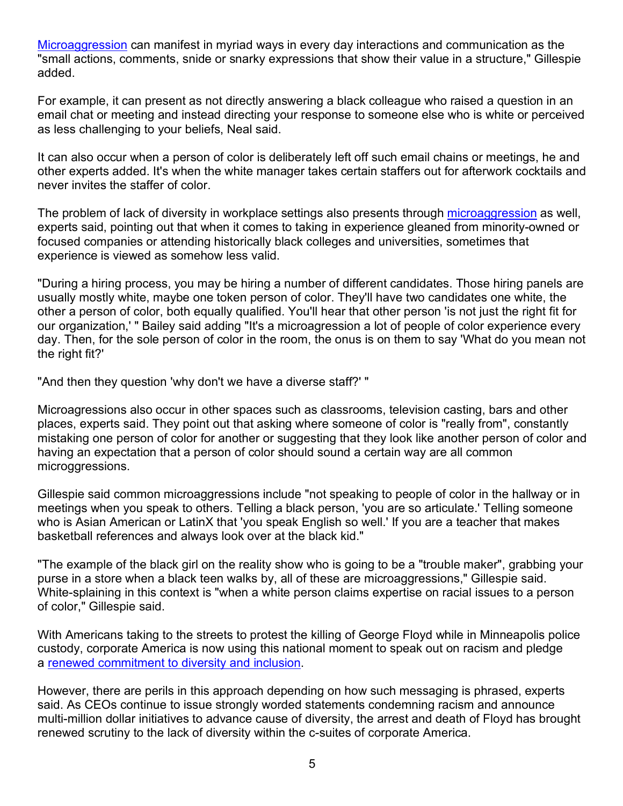Microaggression can manifest in myriad ways in every day interactions and communication as the "small actions, comments, snide or snarky expressions that show their value in a structure," Gillespie added.

For example, it can present as not directly answering a black colleague who raised a question in an email chat or meeting and instead directing your response to someone else who is white or perceived as less challenging to your beliefs, Neal said.

It can also occur when a person of color is deliberately left off such email chains or meetings, he and other experts added. It's when the white manager takes certain staffers out for afterwork cocktails and never invites the staffer of color.

The problem of lack of diversity in workplace settings also presents through microaggression as well, experts said, pointing out that when it comes to taking in experience gleaned from minority-owned or focused companies or attending historically black colleges and universities, sometimes that experience is viewed as somehow less valid.

"During a hiring process, you may be hiring a number of different candidates. Those hiring panels are usually mostly white, maybe one token person of color. They'll have two candidates one white, the other a person of color, both equally qualified. You'll hear that other person 'is not just the right fit for our organization,' " Bailey said adding "It's a microagression a lot of people of color experience every day. Then, for the sole person of color in the room, the onus is on them to say 'What do you mean not the right fit?'

"And then they question 'why don't we have a diverse staff?' "

Microagressions also occur in other spaces such as classrooms, television casting, bars and other places, experts said. They point out that asking where someone of color is "really from", constantly mistaking one person of color for another or suggesting that they look like another person of color and having an expectation that a person of color should sound a certain way are all common microggressions.

Gillespie said common microaggressions include "not speaking to people of color in the hallway or in meetings when you speak to others. Telling a black person, 'you are so articulate.' Telling someone who is Asian American or LatinX that 'you speak English so well.' If you are a teacher that makes basketball references and always look over at the black kid."

"The example of the black girl on the reality show who is going to be a "trouble maker", grabbing your purse in a store when a black teen walks by, all of these are microaggressions," Gillespie said. White-splaining in this context is "when a white person claims expertise on racial issues to a person of color," Gillespie said.

With Americans taking to the streets to protest the killing of George Floyd while in Minneapolis police custody, corporate America is now using this national moment to speak out on racism and pledge a renewed commitment to diversity and inclusion.

However, there are perils in this approach depending on how such messaging is phrased, experts said. As CEOs continue to issue strongly worded statements condemning racism and announce multi-million dollar initiatives to advance cause of diversity, the arrest and death of Floyd has brought renewed scrutiny to the lack of diversity within the c-suites of corporate America.